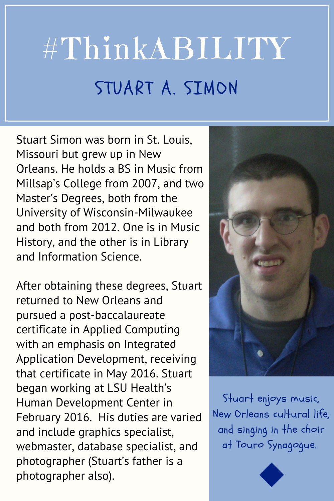## #ThinkABILITY STUART A. SIMON

Stuart Simon was born in St. Louis, Missouri but grew up in New Orleans. He holds a BS in Music from Millsap's College from 2007, and two Master's Degrees, both from the University of Wisconsin-Milwaukee and both from 2012. One is in Music History, and the other is in Library and Information Science.

After obtaining these degrees, Stuart returned to New Orleans and pursued a post-baccalaureate certificate in Applied Computing with an emphasis on Integrated Application Development, receiving that certificate in May 2016. Stuart began working at LSU Health's Human Development Center in February 2016. His duties are varied and include graphics specialist, webmaster, database specialist, and photographer (Stuart's father is a photographer also).



Stuart enjoys music, New Orleans cultural life, and singing in the choir at Touro Synagogue.